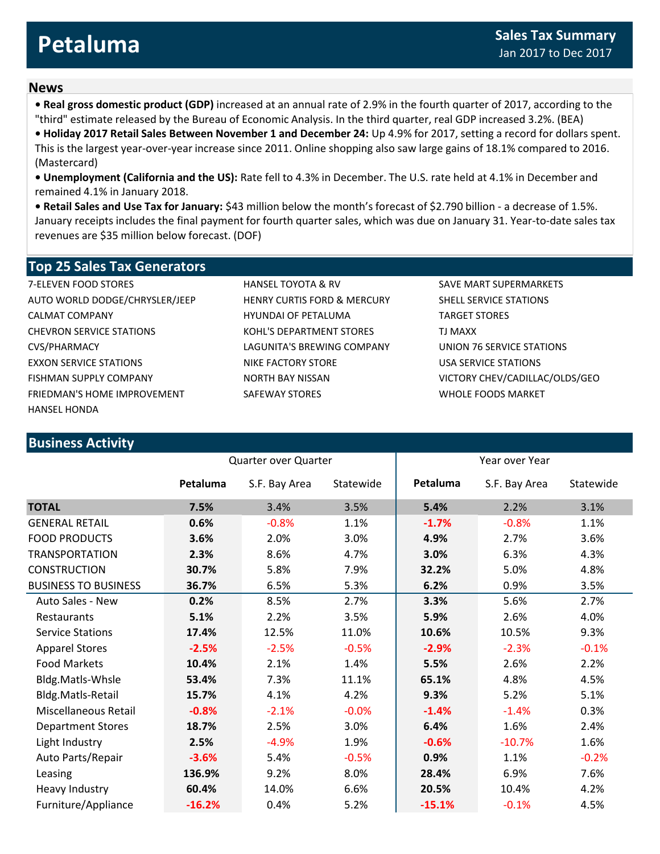## **News**

**• Real gross domestic product (GDP)** increased at an annual rate of 2.9% in the fourth quarter of 2017, according to the "third" estimate released by the Bureau of Economic Analysis. In the third quarter, real GDP increased 3.2%. (BEA)

**• Holiday 2017 Retail Sales Between November 1 and December 24:** Up 4.9% for 2017, setting a record for dollars spent.

This is the largest year-over-year increase since 2011. Online shopping also saw large gains of 18.1% compared to 2016. (Mastercard)

**• Unemployment (California and the US):** Rate fell to 4.3% in December. The U.S. rate held at 4.1% in December and remained 4.1% in January 2018.

**• Retail Sales and Use Tax for January:** \$43 million below the month's forecast of \$2.790 billion - a decrease of 1.5%. January receipts includes the final payment for fourth quarter sales, which was due on January 31. Year-to-date sales tax revenues are \$35 million below forecast. (DOF)

## **Top 25 Sales Tax Generators**

AUTO WORLD DODGE/CHRYSLER/JEEP HENRY CURTIS FORD & MERCURY SHELL SERVICE STATIONS CALMAT COMPANY HYUNDAI OF PETALUMA TARGET STORES CHEVRON SERVICE STATIONS 
TURK AND THE STATIONS AND RESERVED TO MAXX CVS/PHARMACY LAGUNITA'S BREWING COMPANY UNION 76 SERVICE STATIONS EXXON SERVICE STATIONS THE STATIONS NIKE FACTORY STORE THE USA SERVICE STATIONS FISHMAN SUPPLY COMPANY NORTH BAY NISSAN VICTORY CHEV/CADILLAC/OLDS/GEO FRIEDMAN'S HOME IMPROVEMENT SAFEWAY STORES SAFEWAY STORES WHOLE FOODS MARKET HANSEL HONDA

**Business Activity**

7-ELEVEN FOOD STORES HANSEL TOYOTA & RV SAVE MART SUPERMARKETS

| <b>DUSILIESS ACLIVILY</b>   |                      |               |           |                |               |           |
|-----------------------------|----------------------|---------------|-----------|----------------|---------------|-----------|
|                             | Quarter over Quarter |               |           | Year over Year |               |           |
|                             | Petaluma             | S.F. Bay Area | Statewide | Petaluma       | S.F. Bay Area | Statewide |
| <b>TOTAL</b>                | 7.5%                 | 3.4%          | 3.5%      | 5.4%           | 2.2%          | 3.1%      |
| <b>GENERAL RETAIL</b>       | 0.6%                 | $-0.8%$       | 1.1%      | $-1.7%$        | $-0.8%$       | 1.1%      |
| <b>FOOD PRODUCTS</b>        | 3.6%                 | 2.0%          | 3.0%      | 4.9%           | 2.7%          | 3.6%      |
| <b>TRANSPORTATION</b>       | 2.3%                 | 8.6%          | 4.7%      | 3.0%           | 6.3%          | 4.3%      |
| <b>CONSTRUCTION</b>         | 30.7%                | 5.8%          | 7.9%      | 32.2%          | 5.0%          | 4.8%      |
| <b>BUSINESS TO BUSINESS</b> | 36.7%                | 6.5%          | 5.3%      | 6.2%           | 0.9%          | 3.5%      |
| Auto Sales - New            | 0.2%                 | 8.5%          | 2.7%      | 3.3%           | 5.6%          | 2.7%      |
| <b>Restaurants</b>          | 5.1%                 | 2.2%          | 3.5%      | 5.9%           | 2.6%          | 4.0%      |
| <b>Service Stations</b>     | 17.4%                | 12.5%         | 11.0%     | 10.6%          | 10.5%         | 9.3%      |
| <b>Apparel Stores</b>       | $-2.5%$              | $-2.5%$       | $-0.5%$   | $-2.9%$        | $-2.3%$       | $-0.1%$   |
| <b>Food Markets</b>         | 10.4%                | 2.1%          | 1.4%      | 5.5%           | 2.6%          | 2.2%      |
| Bldg.Matls-Whsle            | 53.4%                | 7.3%          | 11.1%     | 65.1%          | 4.8%          | 4.5%      |
| Bldg.Matls-Retail           | 15.7%                | 4.1%          | 4.2%      | 9.3%           | 5.2%          | 5.1%      |
| Miscellaneous Retail        | $-0.8%$              | $-2.1%$       | $-0.0%$   | $-1.4%$        | $-1.4%$       | 0.3%      |
| <b>Department Stores</b>    | 18.7%                | 2.5%          | 3.0%      | 6.4%           | 1.6%          | 2.4%      |
| Light Industry              | 2.5%                 | $-4.9%$       | 1.9%      | $-0.6%$        | $-10.7%$      | 1.6%      |
| Auto Parts/Repair           | $-3.6%$              | 5.4%          | $-0.5%$   | 0.9%           | 1.1%          | $-0.2%$   |
| Leasing                     | 136.9%               | 9.2%          | 8.0%      | 28.4%          | 6.9%          | 7.6%      |
| Heavy Industry              | 60.4%                | 14.0%         | 6.6%      | 20.5%          | 10.4%         | 4.2%      |
| Furniture/Appliance         | $-16.2%$             | 0.4%          | 5.2%      | $-15.1%$       | $-0.1%$       | 4.5%      |